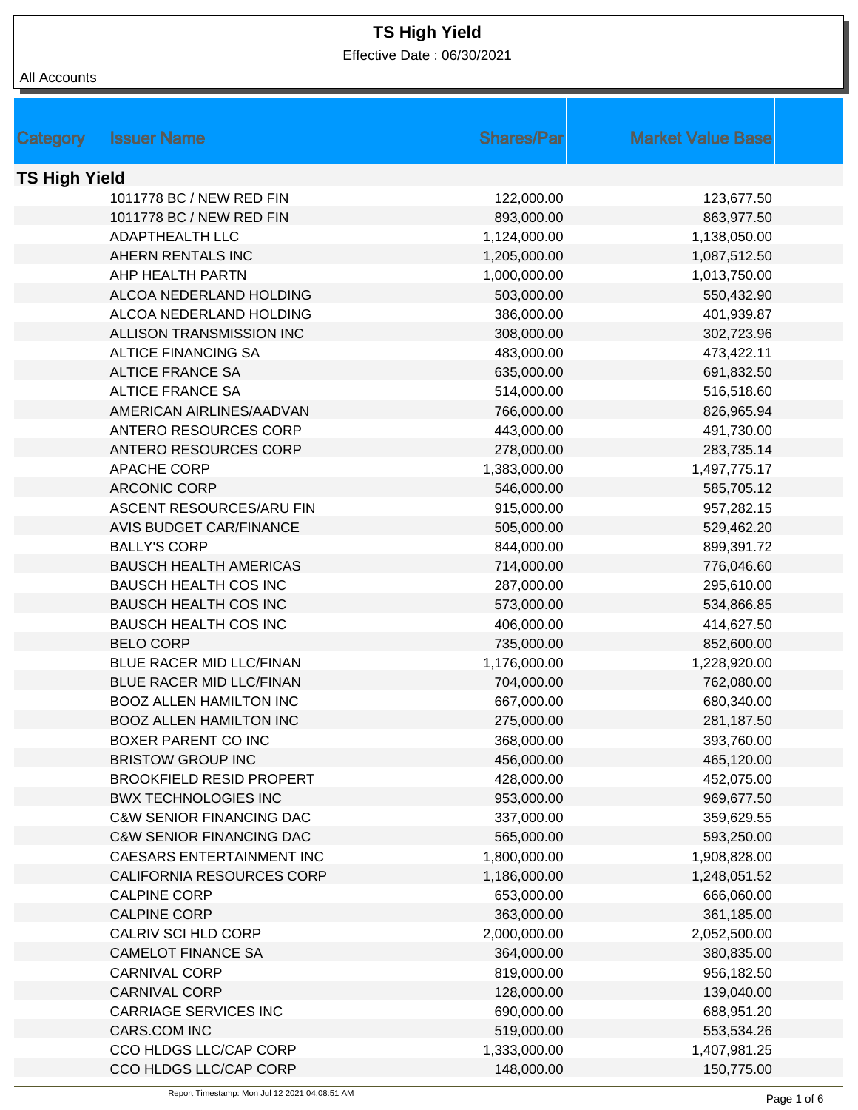Effective Date : 06/30/2021

| All Accounts |
|--------------|
|              |

| Category             | <b>Issuer Name</b>                  | <b>Shares/Par</b> | <b>Market Value Base</b> |  |
|----------------------|-------------------------------------|-------------------|--------------------------|--|
|                      |                                     |                   |                          |  |
| <b>TS High Yield</b> |                                     |                   |                          |  |
|                      | 1011778 BC / NEW RED FIN            | 122,000.00        | 123,677.50               |  |
|                      | 1011778 BC / NEW RED FIN            | 893,000.00        | 863,977.50               |  |
|                      | ADAPTHEALTH LLC                     | 1,124,000.00      | 1,138,050.00             |  |
|                      | AHERN RENTALS INC                   | 1,205,000.00      | 1,087,512.50             |  |
|                      | AHP HEALTH PARTN                    | 1,000,000.00      | 1,013,750.00             |  |
|                      | ALCOA NEDERLAND HOLDING             | 503,000.00        | 550,432.90               |  |
|                      | ALCOA NEDERLAND HOLDING             | 386,000.00        | 401,939.87               |  |
|                      | ALLISON TRANSMISSION INC            | 308,000.00        | 302,723.96               |  |
|                      | <b>ALTICE FINANCING SA</b>          | 483,000.00        | 473,422.11               |  |
|                      | <b>ALTICE FRANCE SA</b>             | 635,000.00        | 691,832.50               |  |
|                      | <b>ALTICE FRANCE SA</b>             | 514,000.00        | 516,518.60               |  |
|                      | AMERICAN AIRLINES/AADVAN            | 766,000.00        | 826,965.94               |  |
|                      | ANTERO RESOURCES CORP               | 443,000.00        | 491,730.00               |  |
|                      | ANTERO RESOURCES CORP               | 278,000.00        | 283,735.14               |  |
|                      | APACHE CORP                         | 1,383,000.00      | 1,497,775.17             |  |
|                      | <b>ARCONIC CORP</b>                 | 546,000.00        | 585,705.12               |  |
|                      | ASCENT RESOURCES/ARU FIN            | 915,000.00        | 957,282.15               |  |
|                      | <b>AVIS BUDGET CAR/FINANCE</b>      | 505,000.00        | 529,462.20               |  |
|                      | <b>BALLY'S CORP</b>                 | 844,000.00        | 899,391.72               |  |
|                      | <b>BAUSCH HEALTH AMERICAS</b>       | 714,000.00        | 776,046.60               |  |
|                      | <b>BAUSCH HEALTH COS INC</b>        | 287,000.00        | 295,610.00               |  |
|                      | <b>BAUSCH HEALTH COS INC</b>        | 573,000.00        | 534,866.85               |  |
|                      | <b>BAUSCH HEALTH COS INC</b>        | 406,000.00        | 414,627.50               |  |
|                      | <b>BELO CORP</b>                    | 735,000.00        | 852,600.00               |  |
|                      | BLUE RACER MID LLC/FINAN            | 1,176,000.00      | 1,228,920.00             |  |
|                      | BLUE RACER MID LLC/FINAN            | 704,000.00        | 762,080.00               |  |
|                      | <b>BOOZ ALLEN HAMILTON INC</b>      | 667,000.00        | 680,340.00               |  |
|                      | <b>BOOZ ALLEN HAMILTON INC</b>      | 275,000.00        | 281,187.50               |  |
|                      | BOXER PARENT CO INC                 | 368,000.00        | 393,760.00               |  |
|                      | <b>BRISTOW GROUP INC</b>            | 456,000.00        | 465,120.00               |  |
|                      | <b>BROOKFIELD RESID PROPERT</b>     | 428,000.00        | 452,075.00               |  |
|                      | <b>BWX TECHNOLOGIES INC</b>         | 953,000.00        | 969,677.50               |  |
|                      | <b>C&amp;W SENIOR FINANCING DAC</b> | 337,000.00        | 359,629.55               |  |
|                      | <b>C&amp;W SENIOR FINANCING DAC</b> | 565,000.00        | 593,250.00               |  |
|                      | CAESARS ENTERTAINMENT INC           | 1,800,000.00      | 1,908,828.00             |  |
|                      | <b>CALIFORNIA RESOURCES CORP</b>    | 1,186,000.00      | 1,248,051.52             |  |
|                      | <b>CALPINE CORP</b>                 | 653,000.00        | 666,060.00               |  |
|                      | <b>CALPINE CORP</b>                 | 363,000.00        | 361,185.00               |  |
|                      | CALRIV SCI HLD CORP                 | 2,000,000.00      | 2,052,500.00             |  |
|                      | <b>CAMELOT FINANCE SA</b>           | 364,000.00        | 380,835.00               |  |
|                      | <b>CARNIVAL CORP</b>                | 819,000.00        | 956,182.50               |  |
|                      | <b>CARNIVAL CORP</b>                | 128,000.00        | 139,040.00               |  |
|                      | <b>CARRIAGE SERVICES INC</b>        | 690,000.00        | 688,951.20               |  |
|                      | CARS.COM INC                        | 519,000.00        | 553,534.26               |  |
|                      | CCO HLDGS LLC/CAP CORP              | 1,333,000.00      | 1,407,981.25             |  |
|                      | CCO HLDGS LLC/CAP CORP              | 148,000.00        | 150,775.00               |  |
|                      |                                     |                   |                          |  |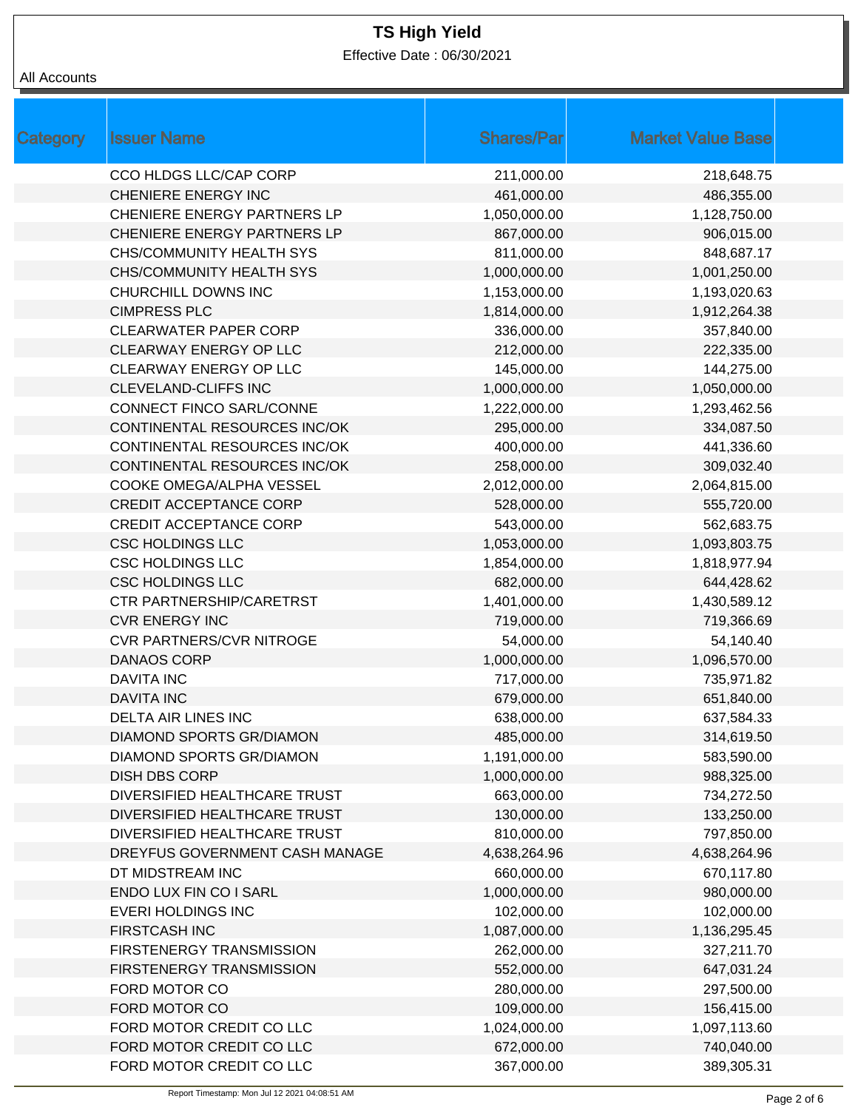Effective Date : 06/30/2021

| Category | <b>Issuer Name</b>                 | <b>Shares/Par</b> | <b>Market Value Base</b> |
|----------|------------------------------------|-------------------|--------------------------|
|          | CCO HLDGS LLC/CAP CORP             | 211,000.00        | 218,648.75               |
|          | <b>CHENIERE ENERGY INC</b>         | 461,000.00        | 486,355.00               |
|          | CHENIERE ENERGY PARTNERS LP        | 1,050,000.00      | 1,128,750.00             |
|          | <b>CHENIERE ENERGY PARTNERS LP</b> | 867,000.00        | 906,015.00               |
|          | CHS/COMMUNITY HEALTH SYS           | 811,000.00        | 848,687.17               |
|          | <b>CHS/COMMUNITY HEALTH SYS</b>    | 1,000,000.00      | 1,001,250.00             |
|          | CHURCHILL DOWNS INC                | 1,153,000.00      | 1,193,020.63             |
|          | <b>CIMPRESS PLC</b>                | 1,814,000.00      | 1,912,264.38             |
|          | <b>CLEARWATER PAPER CORP</b>       | 336,000.00        | 357,840.00               |
|          | CLEARWAY ENERGY OP LLC             | 212,000.00        | 222,335.00               |
|          | CLEARWAY ENERGY OP LLC             | 145,000.00        | 144,275.00               |
|          | <b>CLEVELAND-CLIFFS INC</b>        | 1,000,000.00      | 1,050,000.00             |
|          | CONNECT FINCO SARL/CONNE           | 1,222,000.00      | 1,293,462.56             |
|          | CONTINENTAL RESOURCES INC/OK       | 295,000.00        | 334,087.50               |
|          | CONTINENTAL RESOURCES INC/OK       | 400,000.00        | 441,336.60               |
|          | CONTINENTAL RESOURCES INC/OK       | 258,000.00        | 309,032.40               |
|          | COOKE OMEGA/ALPHA VESSEL           | 2,012,000.00      | 2,064,815.00             |
|          | <b>CREDIT ACCEPTANCE CORP</b>      | 528,000.00        | 555,720.00               |
|          | <b>CREDIT ACCEPTANCE CORP</b>      | 543,000.00        | 562,683.75               |
|          | <b>CSC HOLDINGS LLC</b>            | 1,053,000.00      | 1,093,803.75             |
|          | <b>CSC HOLDINGS LLC</b>            | 1,854,000.00      | 1,818,977.94             |
|          | <b>CSC HOLDINGS LLC</b>            | 682,000.00        | 644,428.62               |
|          | <b>CTR PARTNERSHIP/CARETRST</b>    | 1,401,000.00      | 1,430,589.12             |
|          | <b>CVR ENERGY INC</b>              | 719,000.00        | 719,366.69               |
|          | <b>CVR PARTNERS/CVR NITROGE</b>    | 54,000.00         | 54,140.40                |
|          | <b>DANAOS CORP</b>                 | 1,000,000.00      | 1,096,570.00             |
|          | <b>DAVITA INC</b>                  | 717,000.00        | 735,971.82               |
|          | <b>DAVITA INC</b>                  | 679,000.00        | 651,840.00               |
|          | <b>DELTA AIR LINES INC</b>         | 638,000.00        | 637,584.33               |
|          | DIAMOND SPORTS GR/DIAMON           | 485,000.00        | 314,619.50               |
|          | DIAMOND SPORTS GR/DIAMON           | 1,191,000.00      | 583,590.00               |
|          | <b>DISH DBS CORP</b>               | 1,000,000.00      | 988,325.00               |
|          | DIVERSIFIED HEALTHCARE TRUST       | 663,000.00        | 734,272.50               |
|          | DIVERSIFIED HEALTHCARE TRUST       | 130,000.00        | 133,250.00               |
|          | DIVERSIFIED HEALTHCARE TRUST       | 810,000.00        | 797,850.00               |
|          | DREYFUS GOVERNMENT CASH MANAGE     | 4,638,264.96      | 4,638,264.96             |
|          | DT MIDSTREAM INC                   | 660,000.00        | 670,117.80               |
|          | ENDO LUX FIN CO I SARL             | 1,000,000.00      | 980,000.00               |
|          | <b>EVERI HOLDINGS INC</b>          | 102,000.00        | 102,000.00               |
|          | <b>FIRSTCASH INC</b>               | 1,087,000.00      | 1,136,295.45             |
|          | FIRSTENERGY TRANSMISSION           | 262,000.00        | 327,211.70               |
|          | FIRSTENERGY TRANSMISSION           | 552,000.00        | 647,031.24               |
|          | FORD MOTOR CO                      | 280,000.00        | 297,500.00               |
|          | FORD MOTOR CO                      | 109,000.00        | 156,415.00               |
|          | FORD MOTOR CREDIT CO LLC           | 1,024,000.00      | 1,097,113.60             |
|          | FORD MOTOR CREDIT CO LLC           | 672,000.00        | 740,040.00               |
|          | FORD MOTOR CREDIT CO LLC           | 367,000.00        | 389,305.31               |
|          |                                    |                   |                          |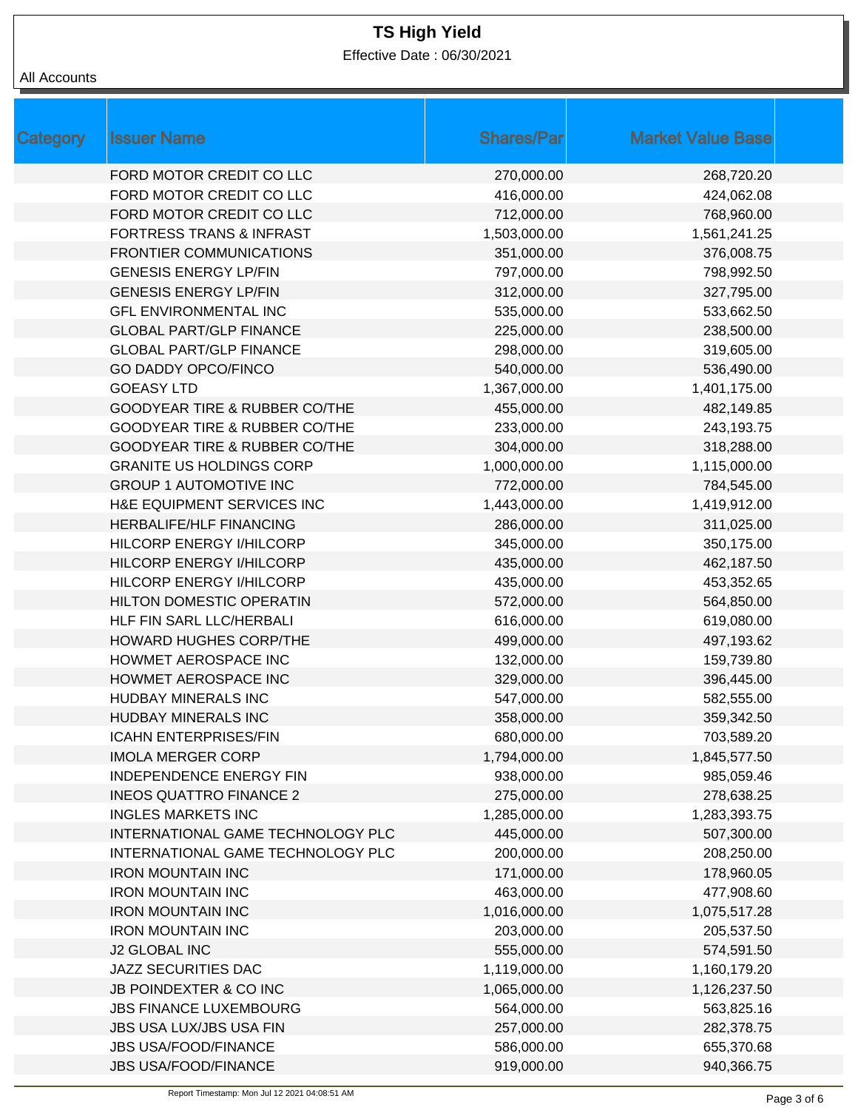Effective Date : 06/30/2021

| <b>Category</b> | <b>Issuer Name</b>                       | <b>Shares/Par</b> | <b>Market Value Base</b> |
|-----------------|------------------------------------------|-------------------|--------------------------|
|                 | FORD MOTOR CREDIT CO LLC                 | 270,000.00        | 268,720.20               |
|                 | FORD MOTOR CREDIT CO LLC                 | 416,000.00        | 424,062.08               |
|                 | FORD MOTOR CREDIT CO LLC                 | 712,000.00        | 768,960.00               |
|                 | <b>FORTRESS TRANS &amp; INFRAST</b>      | 1,503,000.00      | 1,561,241.25             |
|                 | <b>FRONTIER COMMUNICATIONS</b>           | 351,000.00        | 376,008.75               |
|                 | <b>GENESIS ENERGY LP/FIN</b>             | 797,000.00        | 798,992.50               |
|                 | <b>GENESIS ENERGY LP/FIN</b>             | 312,000.00        | 327,795.00               |
|                 | <b>GFL ENVIRONMENTAL INC</b>             | 535,000.00        | 533,662.50               |
|                 | <b>GLOBAL PART/GLP FINANCE</b>           | 225,000.00        | 238,500.00               |
|                 | <b>GLOBAL PART/GLP FINANCE</b>           | 298,000.00        | 319,605.00               |
|                 | <b>GO DADDY OPCO/FINCO</b>               | 540,000.00        | 536,490.00               |
|                 | <b>GOEASY LTD</b>                        | 1,367,000.00      | 1,401,175.00             |
|                 | <b>GOODYEAR TIRE &amp; RUBBER CO/THE</b> | 455,000.00        | 482,149.85               |
|                 | GOODYEAR TIRE & RUBBER CO/THE            | 233,000.00        | 243,193.75               |
|                 | <b>GOODYEAR TIRE &amp; RUBBER CO/THE</b> | 304,000.00        | 318,288.00               |
|                 | <b>GRANITE US HOLDINGS CORP</b>          | 1,000,000.00      | 1,115,000.00             |
|                 | <b>GROUP 1 AUTOMOTIVE INC</b>            | 772,000.00        | 784,545.00               |
|                 | H&E EQUIPMENT SERVICES INC               | 1,443,000.00      | 1,419,912.00             |
|                 | <b>HERBALIFE/HLF FINANCING</b>           | 286,000.00        | 311,025.00               |
|                 | HILCORP ENERGY I/HILCORP                 | 345,000.00        | 350,175.00               |
|                 | <b>HILCORP ENERGY I/HILCORP</b>          | 435,000.00        | 462,187.50               |
|                 | HILCORP ENERGY I/HILCORP                 | 435,000.00        | 453,352.65               |
|                 | <b>HILTON DOMESTIC OPERATIN</b>          | 572,000.00        | 564,850.00               |
|                 | HLF FIN SARL LLC/HERBALI                 | 616,000.00        | 619,080.00               |
|                 | <b>HOWARD HUGHES CORP/THE</b>            | 499,000.00        | 497,193.62               |
|                 | HOWMET AEROSPACE INC                     | 132,000.00        | 159,739.80               |
|                 | HOWMET AEROSPACE INC                     | 329,000.00        | 396,445.00               |
|                 | <b>HUDBAY MINERALS INC</b>               | 547,000.00        | 582,555.00               |
|                 | <b>HUDBAY MINERALS INC</b>               | 358,000.00        | 359,342.50               |
|                 | <b>ICAHN ENTERPRISES/FIN</b>             | 680,000.00        | 703,589.20               |
|                 | <b>IMOLA MERGER CORP</b>                 | 1,794,000.00      | 1,845,577.50             |
|                 | <b>INDEPENDENCE ENERGY FIN</b>           | 938,000.00        | 985,059.46               |
|                 | <b>INEOS QUATTRO FINANCE 2</b>           | 275,000.00        | 278,638.25               |
|                 | <b>INGLES MARKETS INC</b>                | 1,285,000.00      | 1,283,393.75             |
|                 | INTERNATIONAL GAME TECHNOLOGY PLC        | 445,000.00        | 507,300.00               |
|                 | INTERNATIONAL GAME TECHNOLOGY PLC        | 200,000.00        | 208,250.00               |
|                 | <b>IRON MOUNTAIN INC</b>                 | 171,000.00        | 178,960.05               |
|                 | <b>IRON MOUNTAIN INC</b>                 | 463,000.00        | 477,908.60               |
|                 | <b>IRON MOUNTAIN INC</b>                 | 1,016,000.00      | 1,075,517.28             |
|                 | <b>IRON MOUNTAIN INC</b>                 | 203,000.00        | 205,537.50               |
|                 | <b>J2 GLOBAL INC</b>                     | 555,000.00        | 574,591.50               |
|                 | JAZZ SECURITIES DAC                      | 1,119,000.00      | 1,160,179.20             |
|                 | <b>JB POINDEXTER &amp; CO INC</b>        | 1,065,000.00      | 1,126,237.50             |
|                 | <b>JBS FINANCE LUXEMBOURG</b>            | 564,000.00        | 563,825.16               |
|                 | <b>JBS USA LUX/JBS USA FIN</b>           | 257,000.00        | 282,378.75               |
|                 | <b>JBS USA/FOOD/FINANCE</b>              | 586,000.00        | 655,370.68               |
|                 | JBS USA/FOOD/FINANCE                     | 919,000.00        | 940,366.75               |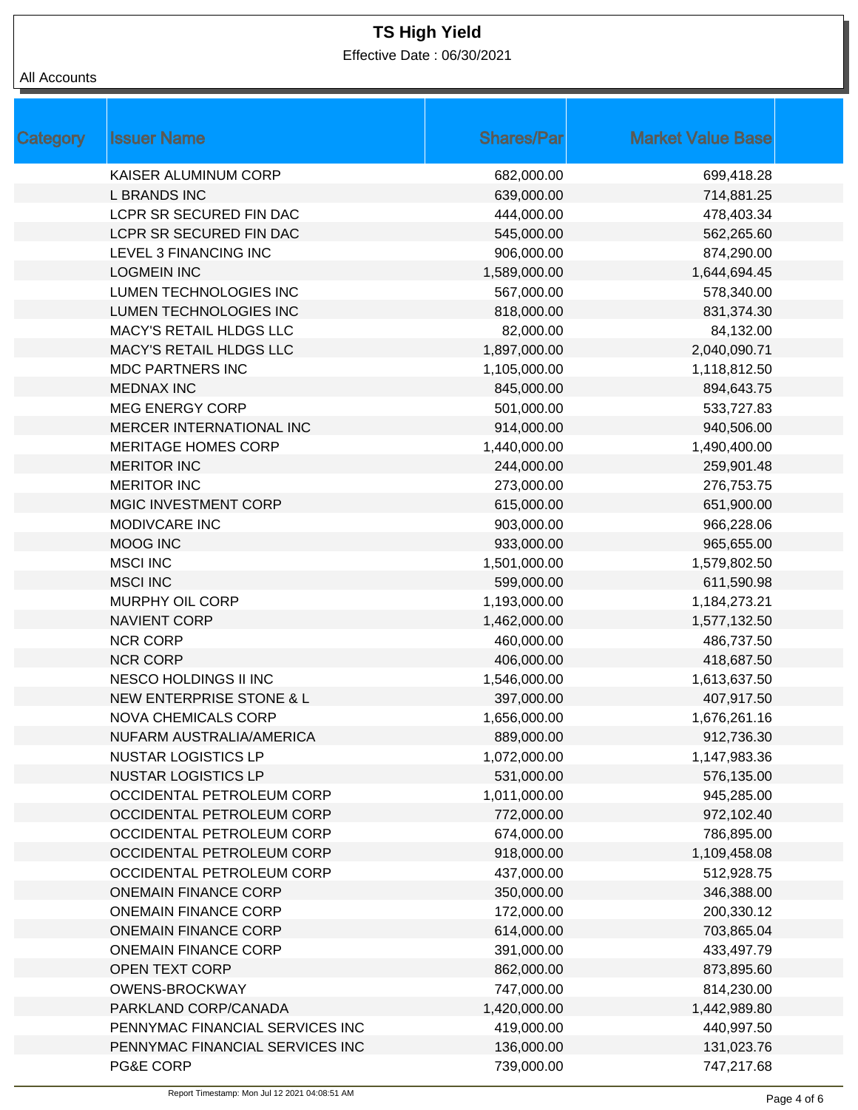Effective Date : 06/30/2021

| <b>Category</b> | <b>Issuer Name</b>                  | <b>Shares/Par</b> | <b>Market Value Base</b> |
|-----------------|-------------------------------------|-------------------|--------------------------|
|                 | KAISER ALUMINUM CORP                | 682,000.00        | 699,418.28               |
|                 | <b>L BRANDS INC</b>                 | 639,000.00        | 714,881.25               |
|                 | LCPR SR SECURED FIN DAC             | 444,000.00        | 478,403.34               |
|                 | LCPR SR SECURED FIN DAC             | 545,000.00        | 562,265.60               |
|                 | LEVEL 3 FINANCING INC               | 906,000.00        | 874,290.00               |
|                 | <b>LOGMEIN INC</b>                  | 1,589,000.00      | 1,644,694.45             |
|                 | LUMEN TECHNOLOGIES INC              | 567,000.00        | 578,340.00               |
|                 | LUMEN TECHNOLOGIES INC              | 818,000.00        | 831,374.30               |
|                 | MACY'S RETAIL HLDGS LLC             | 82,000.00         | 84,132.00                |
|                 | MACY'S RETAIL HLDGS LLC             | 1,897,000.00      | 2,040,090.71             |
|                 | <b>MDC PARTNERS INC</b>             | 1,105,000.00      | 1,118,812.50             |
|                 | <b>MEDNAX INC</b>                   | 845,000.00        | 894,643.75               |
|                 | <b>MEG ENERGY CORP</b>              | 501,000.00        | 533,727.83               |
|                 | MERCER INTERNATIONAL INC            | 914,000.00        | 940,506.00               |
|                 | <b>MERITAGE HOMES CORP</b>          | 1,440,000.00      | 1,490,400.00             |
|                 | <b>MERITOR INC</b>                  | 244,000.00        | 259,901.48               |
|                 | <b>MERITOR INC</b>                  | 273,000.00        | 276,753.75               |
|                 | MGIC INVESTMENT CORP                | 615,000.00        | 651,900.00               |
|                 | MODIVCARE INC                       | 903,000.00        | 966,228.06               |
|                 | MOOG INC                            | 933,000.00        | 965,655.00               |
|                 | <b>MSCI INC</b>                     | 1,501,000.00      | 1,579,802.50             |
|                 | <b>MSCI INC</b>                     | 599,000.00        | 611,590.98               |
|                 | MURPHY OIL CORP                     | 1,193,000.00      | 1,184,273.21             |
|                 | <b>NAVIENT CORP</b>                 | 1,462,000.00      | 1,577,132.50             |
|                 | <b>NCR CORP</b>                     | 460,000.00        | 486,737.50               |
|                 | <b>NCR CORP</b>                     | 406,000.00        | 418,687.50               |
|                 | NESCO HOLDINGS II INC               | 1,546,000.00      | 1,613,637.50             |
|                 | <b>NEW ENTERPRISE STONE &amp; L</b> | 397,000.00        | 407,917.50               |
|                 | <b>NOVA CHEMICALS CORP</b>          | 1,656,000.00      | 1,676,261.16             |
|                 | NUFARM AUSTRALIA/AMERICA            | 889,000.00        | 912,736.30               |
|                 | <b>NUSTAR LOGISTICS LP</b>          | 1,072,000.00      | 1,147,983.36             |
|                 | <b>NUSTAR LOGISTICS LP</b>          | 531,000.00        | 576,135.00               |
|                 | OCCIDENTAL PETROLEUM CORP           | 1,011,000.00      | 945,285.00               |
|                 | OCCIDENTAL PETROLEUM CORP           | 772,000.00        | 972,102.40               |
|                 | OCCIDENTAL PETROLEUM CORP           | 674,000.00        | 786,895.00               |
|                 | OCCIDENTAL PETROLEUM CORP           | 918,000.00        | 1,109,458.08             |
|                 | OCCIDENTAL PETROLEUM CORP           | 437,000.00        | 512,928.75               |
|                 | <b>ONEMAIN FINANCE CORP</b>         | 350,000.00        | 346,388.00               |
|                 | <b>ONEMAIN FINANCE CORP</b>         | 172,000.00        | 200,330.12               |
|                 | <b>ONEMAIN FINANCE CORP</b>         | 614,000.00        | 703,865.04               |
|                 | <b>ONEMAIN FINANCE CORP</b>         | 391,000.00        | 433,497.79               |
|                 | OPEN TEXT CORP                      | 862,000.00        | 873,895.60               |
|                 | OWENS-BROCKWAY                      | 747,000.00        | 814,230.00               |
|                 | PARKLAND CORP/CANADA                | 1,420,000.00      | 1,442,989.80             |
|                 | PENNYMAC FINANCIAL SERVICES INC     | 419,000.00        | 440,997.50               |
|                 | PENNYMAC FINANCIAL SERVICES INC     | 136,000.00        | 131,023.76               |
|                 | PG&E CORP                           | 739,000.00        | 747,217.68               |
|                 |                                     |                   |                          |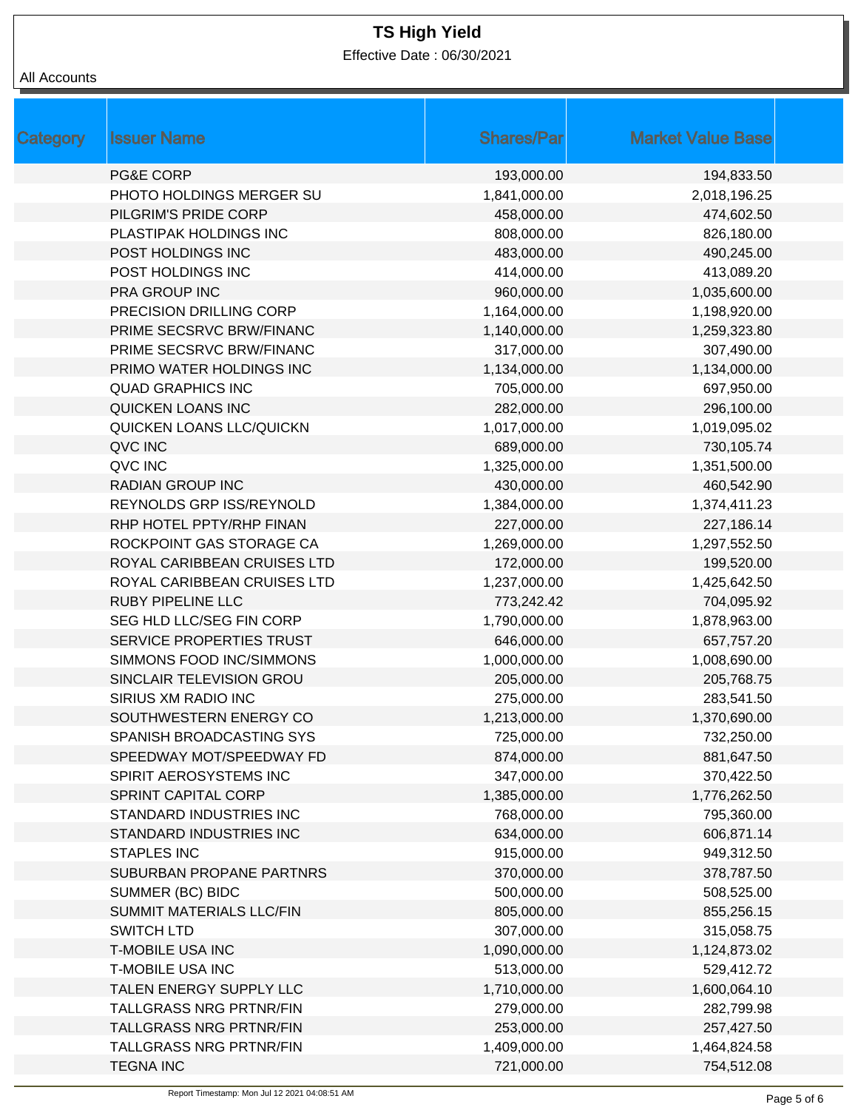Effective Date : 06/30/2021

| Category | <b>Issuer Name</b>             | <b>Shares/Par</b> | <b>Market Value Base</b> |
|----------|--------------------------------|-------------------|--------------------------|
|          | <b>PG&amp;E CORP</b>           | 193,000.00        | 194,833.50               |
|          | PHOTO HOLDINGS MERGER SU       | 1,841,000.00      | 2,018,196.25             |
|          | PILGRIM'S PRIDE CORP           | 458,000.00        | 474,602.50               |
|          | PLASTIPAK HOLDINGS INC         | 808,000.00        | 826,180.00               |
|          | POST HOLDINGS INC              | 483,000.00        | 490,245.00               |
|          | POST HOLDINGS INC              | 414,000.00        | 413,089.20               |
|          | PRA GROUP INC                  | 960,000.00        | 1,035,600.00             |
|          | PRECISION DRILLING CORP        | 1,164,000.00      | 1,198,920.00             |
|          | PRIME SECSRVC BRW/FINANC       | 1,140,000.00      | 1,259,323.80             |
|          | PRIME SECSRVC BRW/FINANC       | 317,000.00        | 307,490.00               |
|          | PRIMO WATER HOLDINGS INC       | 1,134,000.00      | 1,134,000.00             |
|          | <b>QUAD GRAPHICS INC</b>       | 705,000.00        | 697,950.00               |
|          | QUICKEN LOANS INC              | 282,000.00        | 296,100.00               |
|          | QUICKEN LOANS LLC/QUICKN       | 1,017,000.00      | 1,019,095.02             |
|          | QVC INC                        | 689,000.00        | 730,105.74               |
|          | QVC INC                        | 1,325,000.00      | 1,351,500.00             |
|          | <b>RADIAN GROUP INC</b>        | 430,000.00        | 460,542.90               |
|          | REYNOLDS GRP ISS/REYNOLD       | 1,384,000.00      | 1,374,411.23             |
|          | RHP HOTEL PPTY/RHP FINAN       | 227,000.00        | 227,186.14               |
|          | ROCKPOINT GAS STORAGE CA       | 1,269,000.00      | 1,297,552.50             |
|          | ROYAL CARIBBEAN CRUISES LTD    | 172,000.00        | 199,520.00               |
|          | ROYAL CARIBBEAN CRUISES LTD    | 1,237,000.00      | 1,425,642.50             |
|          | <b>RUBY PIPELINE LLC</b>       | 773,242.42        | 704,095.92               |
|          | SEG HLD LLC/SEG FIN CORP       | 1,790,000.00      | 1,878,963.00             |
|          | SERVICE PROPERTIES TRUST       | 646,000.00        | 657,757.20               |
|          | SIMMONS FOOD INC/SIMMONS       | 1,000,000.00      | 1,008,690.00             |
|          | SINCLAIR TELEVISION GROU       | 205,000.00        | 205,768.75               |
|          | SIRIUS XM RADIO INC            | 275,000.00        | 283,541.50               |
|          | SOUTHWESTERN ENERGY CO         | 1,213,000.00      | 1,370,690.00             |
|          | SPANISH BROADCASTING SYS       | 725,000.00        | 732,250.00               |
|          | SPEEDWAY MOT/SPEEDWAY FD       | 874,000.00        | 881,647.50               |
|          | SPIRIT AEROSYSTEMS INC         | 347,000.00        | 370,422.50               |
|          | SPRINT CAPITAL CORP            | 1,385,000.00      | 1,776,262.50             |
|          | STANDARD INDUSTRIES INC        | 768,000.00        | 795,360.00               |
|          | STANDARD INDUSTRIES INC        | 634,000.00        | 606,871.14               |
|          | <b>STAPLES INC</b>             | 915,000.00        | 949,312.50               |
|          | SUBURBAN PROPANE PARTNRS       | 370,000.00        | 378,787.50               |
|          | SUMMER (BC) BIDC               | 500,000.00        | 508,525.00               |
|          | SUMMIT MATERIALS LLC/FIN       | 805,000.00        | 855,256.15               |
|          | <b>SWITCH LTD</b>              | 307,000.00        | 315,058.75               |
|          | T-MOBILE USA INC               | 1,090,000.00      | 1,124,873.02             |
|          | T-MOBILE USA INC               | 513,000.00        | 529,412.72               |
|          | TALEN ENERGY SUPPLY LLC        | 1,710,000.00      | 1,600,064.10             |
|          | <b>TALLGRASS NRG PRTNR/FIN</b> | 279,000.00        | 282,799.98               |
|          | <b>TALLGRASS NRG PRTNR/FIN</b> | 253,000.00        | 257,427.50               |
|          | <b>TALLGRASS NRG PRTNR/FIN</b> | 1,409,000.00      | 1,464,824.58             |
|          | <b>TEGNA INC</b>               | 721,000.00        | 754,512.08               |